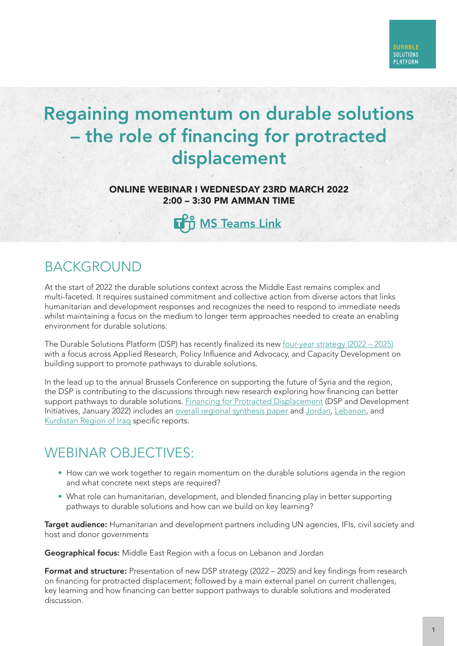# Regaining momentum on durable solutions – the role of financing for protracted displacement

ONLINE WEBINAR I WEDNESDAY 23RD MARCH 2022 2:00 – 3:30 PM AMMAN TIME

**THE [MS Teams Link](https://teams.microsoft.com/l/meetup-join/19%3ameeting_NmY5Y2EwOWYtNDYzMi00NTMwLTgwNzktY2RjYmNmODgzNjc3%40thread.v2/0?context=%7b%22Tid%22%3a%222a212241-899c-4752-bd33-51eac3c582d5%22%2c%22Oid%22%3a%2298c519ae-2f8f-4de2-b7c8-c7b4857535c3%22%7d)** 

# **BACKGROUND**

At the start of 2022 the durable solutions context across the Middle East remains complex and multi-faceted. It requires sustained commitment and collective action from diverse actors that links humanitarian and development responses and recognizes the need to respond to immediate needs whilst maintaining a focus on the medium to longer term approaches needed to create an enabling environment for durable solutions.

The Durable Solutions Platform (DSP) has recently finalized its new [four-year strategy \(2022 – 2025\)](https://dsp-syria.org/dsp-strategy-2022-2025) with a focus across Applied Research, Policy Influence and Advocacy, and Capacity Development on building support to promote pathways to durable solutions.

In the lead up to the annual Brussels Conference on supporting the future of Syria and the region, the DSP is contributing to the discussions through new research exploring how financing can better support pathways to durable solutions. [Financing for Protracted Displacement](https://dsp-syria.org/financing-protracted-displacement) (DSP and Development Initiatives, January 2022) includes an [overall regional synthesis paper](https://dsp-syria.org/sites/default/files/2022-02/DI-DSP%20displacement%20financing%20-%20Synthesis%20.pdf) and [Jordan,](https://dsp-syria.org/sites/default/files/2022-02/DI-DSP%20displacement%20financing%20-%20Jordan.pdf) [Lebanon](https://dsp-syria.org/sites/default/files/2022-02/DI-DSP%20displacement%20financing%20-%20Lebanon%20.pdf), and [Kurdistan Region of Iraq](https://dsp-syria.org/sites/default/files/2022-02/DI-DSP%20displacement%20financing%20-%20KRI%20brief.pdf) specific reports.

# WEBINAR OBJECTIVES:

- How can we work together to regain momentum on the durable solutions agenda in the region and what concrete next steps are required?
- What role can humanitarian, development, and blended financing play in better supporting pathways to durable solutions and how can we build on key learning?

Target audience: Humanitarian and development partners including UN agencies, IFIs, civil society and host and donor governments

Geographical focus: Middle East Region with a focus on Lebanon and Jordan

Format and structure: Presentation of new DSP strategy (2022 – 2025) and key findings from research on financing for protracted displacement; followed by a main external panel on current challenges, key learning and how financing can better support pathways to durable solutions and moderated discussion.